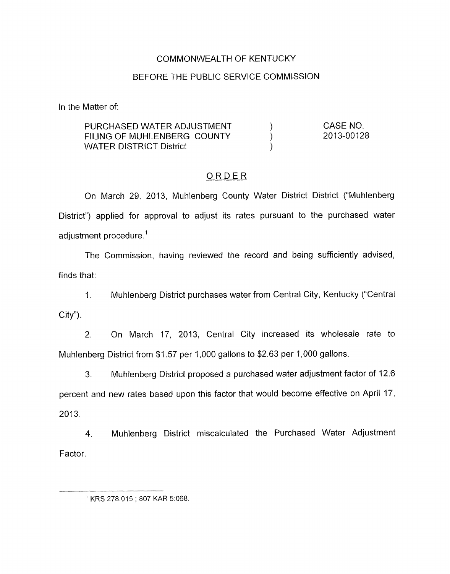### COMMONWEALTH OF KENTUCKY

### BEFORE THE PUBLIC SERVICE COMMISSION

In the Matter of:

| PURCHASED WATER ADJUSTMENT  | CASE NO.   |
|-----------------------------|------------|
| FILING OF MUHLENBERG COUNTY | 2013-00128 |
| WATER DISTRICT District     |            |

### ORDER

On March 29, 2013, Muhlenberg County Water District District ("Muhlenberg District") applied for approval to adjust its rates pursuant to the purchased water adjustment procedure. '

The Commission, having reviewed the record and being sufficiently advised, finds that:

1. Muhlenberg District purchases water from Central City, Kentucky ("Central  $City$ ").

2. On March 17, 2013, Central City increased its wholesale rate to Muhlenberg District from \$1.57 per 1,000 gallons to \$2.63 per 1,000 gallons.

3. Muhlenberg District proposed a purchased water adjustment factor of 12.6 percent and new rates based upon this factor that would become effective on April 17, 2013.

4. Muhlenberg District miscalculated the Purchased Water Adjustment Factor.

 $1$  KRS 278.015; 807 KAR 5:068.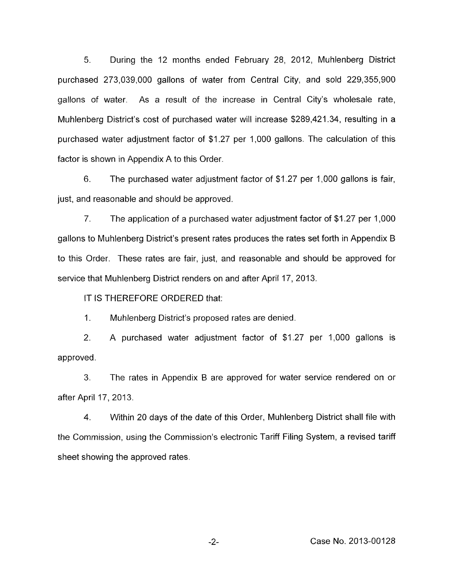5. During the 12 months ended February 28, 2012, Muhlenberg District purchased 273,039,000 gallons of water from Central City, and sold 229,355,900 gallons of water. As a result of the increase in Central City's wholesale rate, Muhlenberg District's cost of purchased water will increase \$289,421.34, resulting in a purchased water adjustment factor of \$1.27 per 1,000 gallons. The calculation of this factor is shown in Appendix A to this Order.

6. The purchased water adjustment factor of \$1.27 per 1,000 gallons is fair, just, and reasonable and should be approved.

7. The application of a purchased water adjustment factor of \$1.27 per 1,000 gallons to Muhlenberg District's present rates produces the rates set forth in Appendix B to this Order. These rates are fair, just, and reasonable and should be approved for service that Muhlenberg District renders on and after April 17, 2013.

IT IS THEREFORE ORDERED that:

1. Muhlenberg District's proposed rates are denied.

2. A purchased water adjustment factor of \$1.27 per 1,000 gallons is approved.

**3.** The rates in Appendix B are approved for water service rendered on or after April 17, 2013.

**4.** Within 20 days of the date *of* this Order, Muhlenberg District shall file with the Commission, using the Commission's electronic Tariff Filing System, a revised tariff sheet showing the approved rates.

-2- Case No. 2013-00128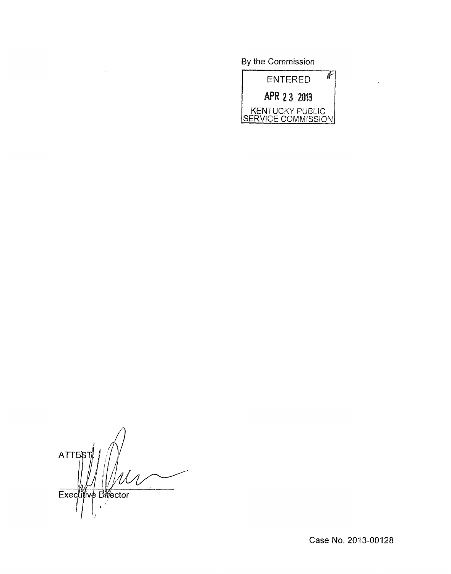By the Commission



 $\overline{a}$ 

ATTE/S Executive Director

Case No. 2013-00128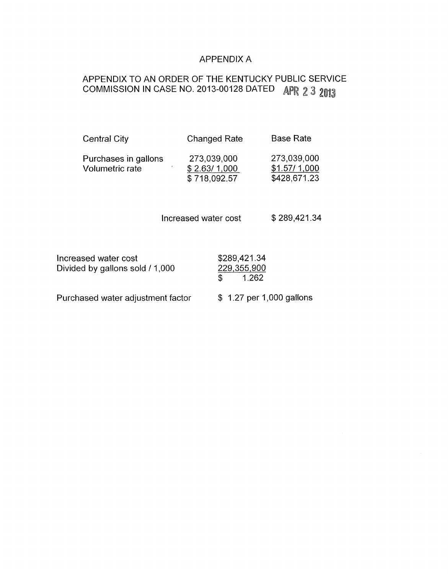### APPENDIX A

# APPENDIX TO AN ORDER OF THE KENTUCKY PUBLIC SERVICE COMMISSION IN CASE NO. 2013-00128 DATED APR 2 3 2013

| <b>Central City</b>                     | <b>Changed Rate</b>                         | <b>Base Rate</b>                            |
|-----------------------------------------|---------------------------------------------|---------------------------------------------|
| Purchases in gallons<br>Volumetric rate | 273,039,000<br>\$2.63/1,000<br>\$718,092.57 | 273,039,000<br>\$1.57/1,000<br>\$428,671.23 |

Increased water cost \$289,421.34

| Increased water cost            |  |  |
|---------------------------------|--|--|
| Divided by gallons sold / 1,000 |  |  |

\$289,421.34  $229,355,900$  $\overline{\$}$  1.262

Purchased water adjustment factor \$ 1.27 per 1,000 gallons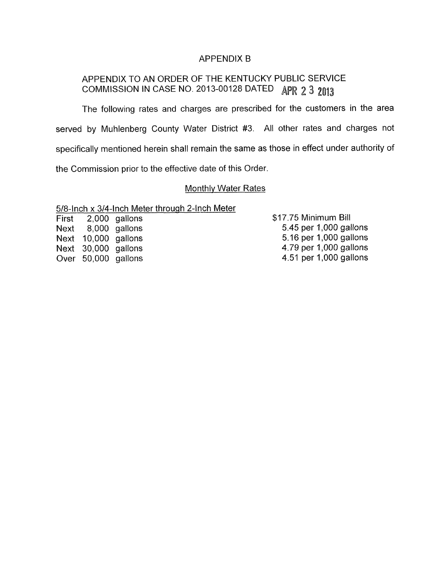### APPENDIX B

## APPENDIX TO AN ORDER OF THE KENTUCKY PUBLIC SERVICE COMMISSION IN CASE NO. 2013-00128 DATED APR 2 3 2013

The following rates and charges are prescribed for the customers in the area served by Muhlenberg County Water District #3. All other rates and charges not specifically mentioned herein shall remain the same as those in effect under authority of the Commission prior to the effective date of this Order

#### Monthlv Water Rates

5/8-lnch x 3/4-lnch Meter through 2-Inch Meter

First 2,000 gallons \$17.75 Minimum Bill

Next 8,000 gallons 5.45 per 1,000 gallons Prist 2,000 gallons<br>
Next 8,000 gallons 5.45 per 1,000 gallons<br>
Next 10,000 gallons 5.16 per 1,000 gallons Next 30,000 gallons 4.79 per 1,000 gallons Over 50,000 gallons 4.51 per 1,000 gallons